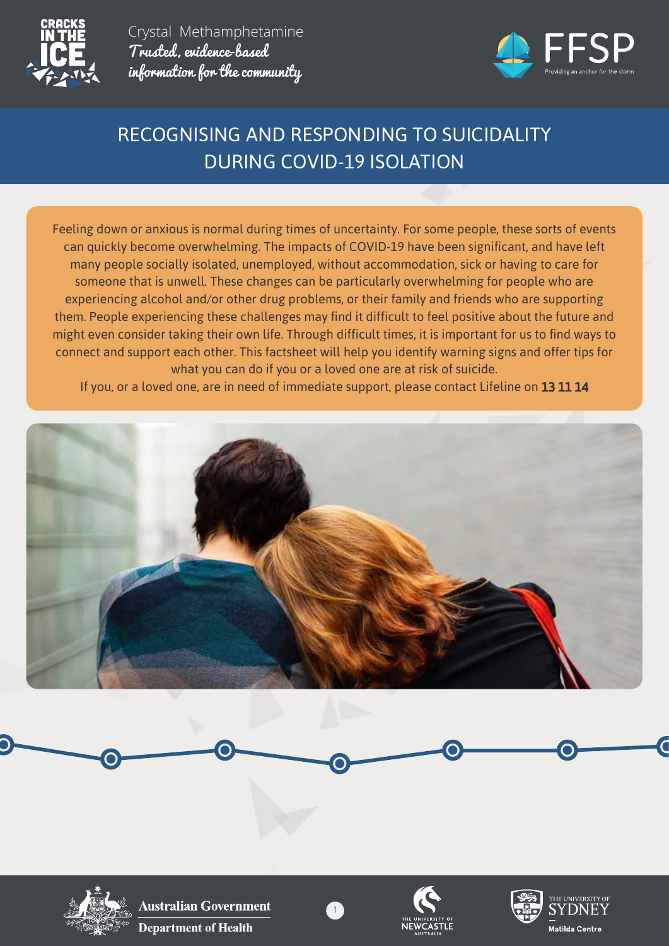



# RECOGNISING AND RESPONDING TO SUICIDALITY DURING COVID-19 ISOLATION

Feeling down or anxious is normal during times of uncertainty. For some people, these sorts of events can quickly become overwhelming. The impacts of COVID-19 have been significant, and have left many people socially isolated, unemployed, without accommodation, sick or having to care for someone that is unwell. These changes can be particularly overwhelming for people who are experiencing alcohol and/or other drug problems, or their family and friends who are supporting them. People experiencing these challenges may find it difficult to feel positive about the future and might even consider taking their own life. Through difficult times, it is important for us to find ways to connect and support each other. This factsheet will help you identify warning signs and offer tips for what you can do if you or a loved one are at risk of suicide.

If you, or a loved one, are in need of immediate support, please contact Lifeline on 13 11 14



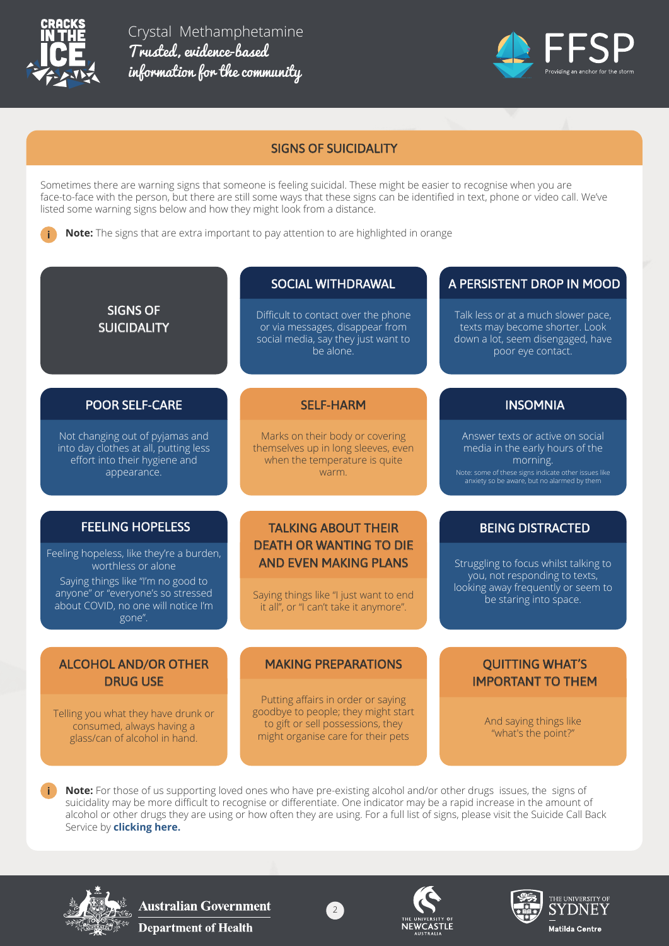

**i**

Crystal Methamphetamine Trusted, evidence-based information for the community



#### SIGNS OF SUICIDALITY

Sometimes there are warning signs that someone is feeling suicidal. These might be easier to recognise when you are face-to-face with the person, but there are still some ways that these signs can be identified in text, phone or video call. We've listed some warning signs below and how they might look from a distance.

**Note:** The signs that are extra important to pay attention to are highlighted in orange

#### SOCIAL WITHDRAWAL

Difficult to contact over the phone or via messages, disappear from social media, say they just want to be alone.

#### A PERSISTENT DROP IN MOOD

Talk less or at a much slower pace, texts may become shorter. Look down a lot, seem disengaged, have poor eye contact.

INSOMNIA

Answer texts or active on social media in the early hours of the morning. Note: some of these signs indicate other issues like anxiety so be aware, but no alarmed by them

#### POOR SELF-CARE

SIGNS OF **SUICIDALITY** 

Not changing out of pyjamas and into day clothes at all, putting less effort into their hygiene and appearance.

# SELF-HARM

Marks on their body or covering themselves up in long sleeves, even when the temperature is quite warm.

# FEELING HOPELESS

Feeling hopeless, like they're a burden, worthless or alone

Saying things like "I'm no good to anyone" or "everyone's so stressed about COVID, no one will notice I'm gone".

### ALCOHOL AND/OR OTHER DRUG USE

Telling you what they have drunk or consumed, always having a glass/can of alcohol in hand.

## TALKING ABOUT THEIR DEATH OR WANTING TO DIE AND EVEN MAKING PLANS

Saying things like "I just want to end it all", or "I can't take it anymore".

#### MAKING PREPARATIONS

Putting affairs in order or saying goodbye to people; they might start to gift or sell possessions, they might organise care for their pets

BEING DISTRACTED Struggling to focus whilst talking to

you, not responding to texts, looking away frequently or seem to be staring into space.

#### QUITTING WHAT'S IMPORTANT TO THEM

And saying things like "what's the point?"

**Note:** For those of us supporting loved ones who have pre-existing alcohol and/or other drugs issues, the signs of suicidality may be more difficult to recognise or differentiate. One indicator may be a rapid increase in the amount of alcohol or other drugs they are using or how often they are using. For a full list of signs, please visit the Suicide Call Back Service by **clicking here.**

2



**i**





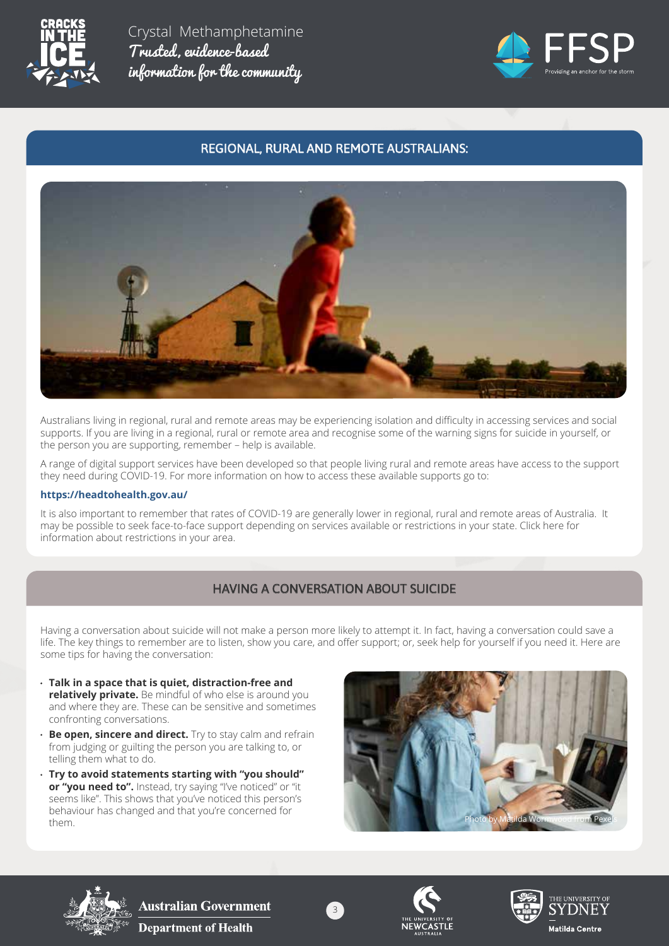



### REGIONAL, RURAL AND REMOTE AUSTRALIANS:



Australians living in regional, rural and remote areas may be experiencing isolation and difficulty in accessing services and social supports. If you are living in a regional, rural or remote area and recognise some of the warning signs for suicide in yourself, or the person you are supporting, remember – help is available.

A range of digital support services have been developed so that people living rural and remote areas have access to the support they need during COVID-19. For more information on how to access these available supports go to:

#### **https://headtohealth.gov.au/**

It is also important to remember that rates of COVID-19 are generally lower in regional, rural and remote areas of Australia. It may be possible to seek face-to-face support depending on services available or restrictions in your state. Click here for information about restrictions in your area.

## HAVING A CONVERSATION ABOUT SUICIDE

Having a conversation about suicide will not make a person more likely to attempt it. In fact, having a conversation could save a life. The key things to remember are to listen, show you care, and offer support; or, seek help for yourself if you need it. Here are some tips for having the conversation:

- **Talk in a space that is quiet, distraction-free and relatively private.** Be mindful of who else is around you and where they are. These can be sensitive and sometimes confronting conversations.
- **Be open, sincere and direct.** Try to stay calm and refrain from judging or guilting the person you are talking to, or telling them what to do.
- **Try to avoid statements starting with "you should"**  or "you need to". Instead, try saying "I've noticed" or "it seems like". This shows that you've noticed this person's behaviour has changed and that you're concerned for









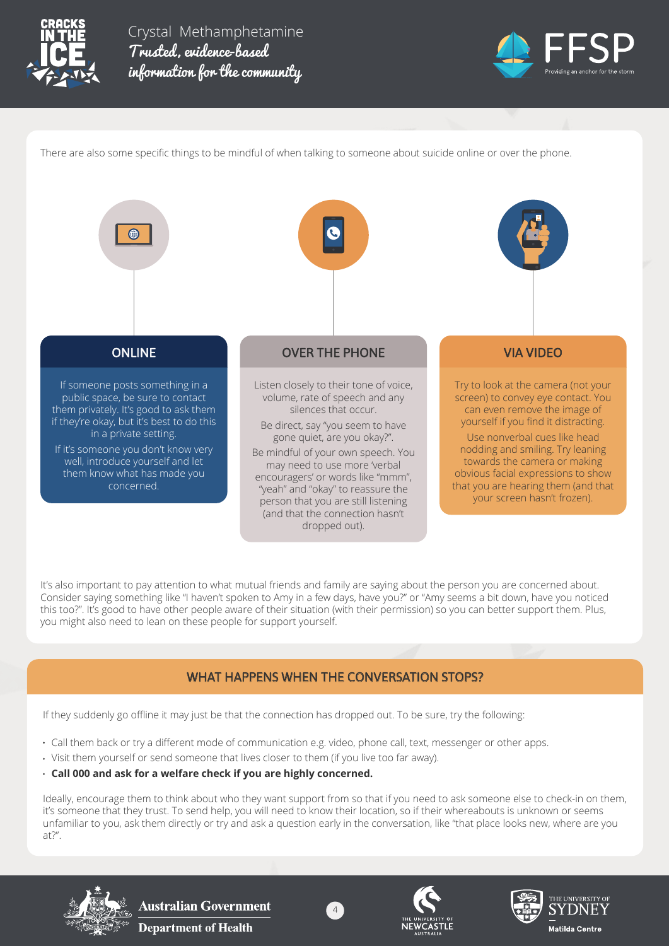



There are also some specific things to be mindful of when talking to someone about suicide online or over the phone.



It's also important to pay attention to what mutual friends and family are saying about the person you are concerned about. Consider saying something like "I haven't spoken to Amy in a few days, have you?" or "Amy seems a bit down, have you noticed this too?". It's good to have other people aware of their situation (with their permission) so you can better support them. Plus, you might also need to lean on these people for support yourself.

#### WHAT HAPPENS WHEN THE CONVERSATION STOPS?

If they suddenly go offline it may just be that the connection has dropped out. To be sure, try the following:

- Call them back or try a different mode of communication e.g. video, phone call, text, messenger or other apps.
- Visit them yourself or send someone that lives closer to them (if you live too far away).
- **Call 000 and ask for a welfare check if you are highly concerned.**

Ideally, encourage them to think about who they want support from so that if you need to ask someone else to check-in on them, it's someone that they trust. To send help, you will need to know their location, so if their whereabouts is unknown or seems unfamiliar to you, ask them directly or try and ask a question early in the conversation, like "that place looks new, where are you at?".

4